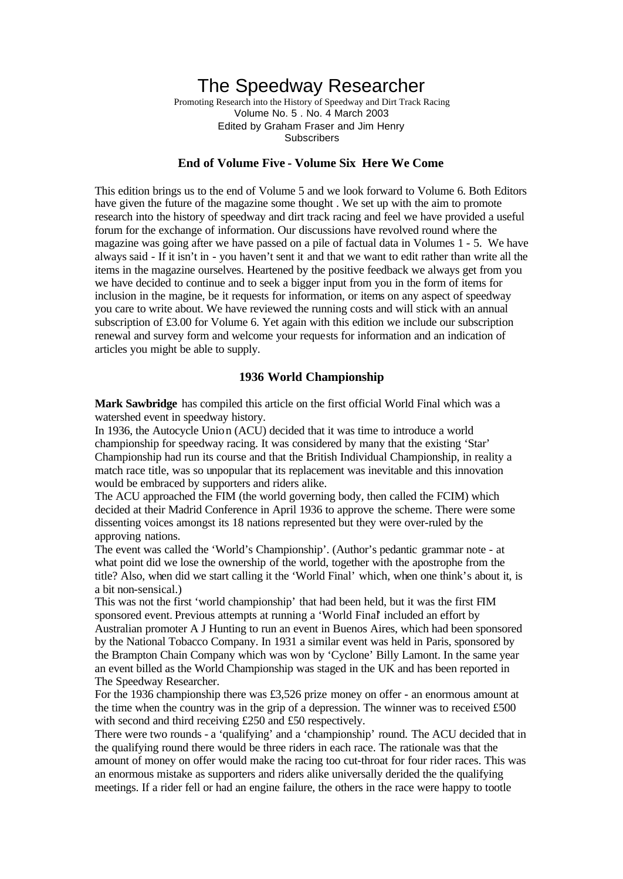# The Speedway Researcher

Promoting Research into the History of Speedway and Dirt Track Racing Volume No. 5 . No. 4 March 2003 Edited by Graham Fraser and Jim Henry **Subscribers** 

## **End of Volume Five - Volume Six Here We Come**

This edition brings us to the end of Volume 5 and we look forward to Volume 6. Both Editors have given the future of the magazine some thought . We set up with the aim to promote research into the history of speedway and dirt track racing and feel we have provided a useful forum for the exchange of information. Our discussions have revolved round where the magazine was going after we have passed on a pile of factual data in Volumes 1 - 5. We have always said - If it isn't in - you haven't sent it and that we want to edit rather than write all the items in the magazine ourselves. Heartened by the positive feedback we always get from you we have decided to continue and to seek a bigger input from you in the form of items for inclusion in the magine, be it requests for information, or items on any aspect of speedway you care to write about. We have reviewed the running costs and will stick with an annual subscription of £3.00 for Volume 6. Yet again with this edition we include our subscription renewal and survey form and welcome your requests for information and an indication of articles you might be able to supply.

#### **1936 World Championship**

**Mark Sawbridge** has compiled this article on the first official World Final which was a watershed event in speedway history.

In 1936, the Autocycle Union (ACU) decided that it was time to introduce a world championship for speedway racing. It was considered by many that the existing 'Star' Championship had run its course and that the British Individual Championship, in reality a match race title, was so unpopular that its replacement was inevitable and this innovation would be embraced by supporters and riders alike.

The ACU approached the FIM (the world governing body, then called the FCIM) which decided at their Madrid Conference in April 1936 to approve the scheme. There were some dissenting voices amongst its 18 nations represented but they were over-ruled by the approving nations.

The event was called the 'World's Championship'. (Author's pedantic grammar note - at what point did we lose the ownership of the world, together with the apostrophe from the title? Also, when did we start calling it the 'World Final' which, when one think's about it, is a bit non-sensical.)

This was not the first 'world championship' that had been held, but it was the first FIM sponsored event. Previous attempts at running a 'World Final' included an effort by Australian promoter A J Hunting to run an event in Buenos Aires, which had been sponsored by the National Tobacco Company. In 1931 a similar event was held in Paris, sponsored by the Brampton Chain Company which was won by 'Cyclone' Billy Lamont. In the same year an event billed as the World Championship was staged in the UK and has been reported in The Speedway Researcher.

For the 1936 championship there was £3,526 prize money on offer - an enormous amount at the time when the country was in the grip of a depression. The winner was to received £500 with second and third receiving £250 and £50 respectively.

There were two rounds - a 'qualifying' and a 'championship' round. The ACU decided that in the qualifying round there would be three riders in each race. The rationale was that the amount of money on offer would make the racing too cut-throat for four rider races. This was an enormous mistake as supporters and riders alike universally derided the the qualifying meetings. If a rider fell or had an engine failure, the others in the race were happy to tootle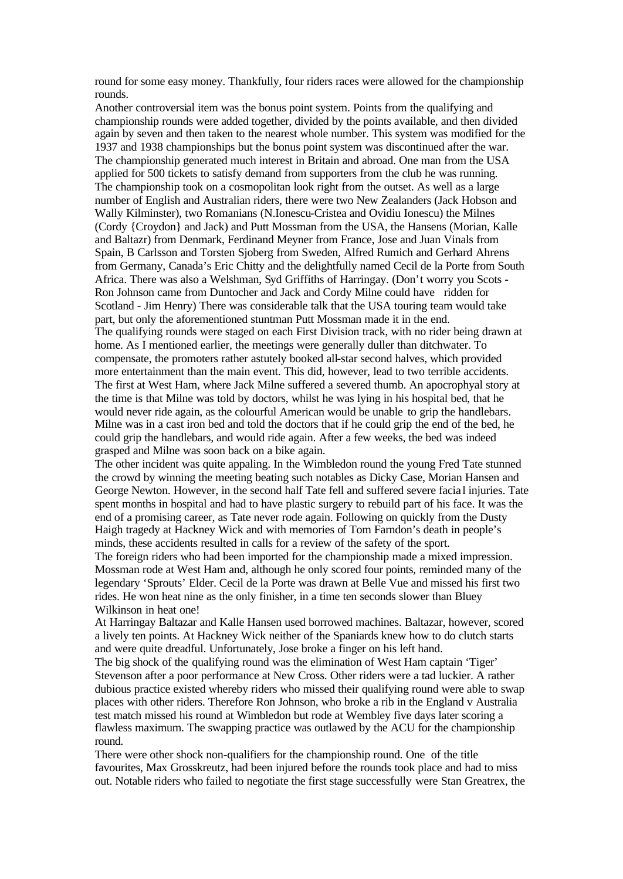round for some easy money. Thankfully, four riders races were allowed for the championship rounds.

Another controversial item was the bonus point system. Points from the qualifying and championship rounds were added together, divided by the points available, and then divided again by seven and then taken to the nearest whole number. This system was modified for the 1937 and 1938 championships but the bonus point system was discontinued after the war. The championship generated much interest in Britain and abroad. One man from the USA applied for 500 tickets to satisfy demand from supporters from the club he was running. The championship took on a cosmopolitan look right from the outset. As well as a large number of English and Australian riders, there were two New Zealanders (Jack Hobson and Wally Kilminster), two Romanians (N.Ionescu-Cristea and Ovidiu Ionescu) the Milnes (Cordy {Croydon} and Jack) and Putt Mossman from the USA, the Hansens (Morian, Kalle and Baltazr) from Denmark, Ferdinand Meyner from France, Jose and Juan Vinals from Spain, B Carlsson and Torsten Sjoberg from Sweden, Alfred Rumich and Gerhard Ahrens from Germany, Canada's Eric Chitty and the delightfully named Cecil de la Porte from South Africa. There was also a Welshman, Syd Griffiths of Harringay. (Don't worry you Scots - Ron Johnson came from Duntocher and Jack and Cordy Milne could have ridden for Scotland - Jim Henry) There was considerable talk that the USA touring team would take part, but only the aforementioned stuntman Putt Mossman made it in the end. The qualifying rounds were staged on each First Division track, with no rider being drawn at home. As I mentioned earlier, the meetings were generally duller than ditchwater. To compensate, the promoters rather astutely booked all-star second halves, which provided more entertainment than the main event. This did, however, lead to two terrible accidents. The first at West Ham, where Jack Milne suffered a severed thumb. An apocrophyal story at the time is that Milne was told by doctors, whilst he was lying in his hospital bed, that he would never ride again, as the colourful American would be unable to grip the handlebars. Milne was in a cast iron bed and told the doctors that if he could grip the end of the bed, he could grip the handlebars, and would ride again. After a few weeks, the bed was indeed grasped and Milne was soon back on a bike again.

The other incident was quite appaling. In the Wimbledon round the young Fred Tate stunned the crowd by winning the meeting beating such notables as Dicky Case, Morian Hansen and George Newton. However, in the second half Tate fell and suffered severe facia l injuries. Tate spent months in hospital and had to have plastic surgery to rebuild part of his face. It was the end of a promising career, as Tate never rode again. Following on quickly from the Dusty Haigh tragedy at Hackney Wick and with memories of Tom Farndon's death in people's minds, these accidents resulted in calls for a review of the safety of the sport.

The foreign riders who had been imported for the championship made a mixed impression. Mossman rode at West Ham and, although he only scored four points, reminded many of the legendary 'Sprouts' Elder. Cecil de la Porte was drawn at Belle Vue and missed his first two rides. He won heat nine as the only finisher, in a time ten seconds slower than Bluey Wilkinson in heat one!

At Harringay Baltazar and Kalle Hansen used borrowed machines. Baltazar, however, scored a lively ten points. At Hackney Wick neither of the Spaniards knew how to do clutch starts and were quite dreadful. Unfortunately, Jose broke a finger on his left hand.

The big shock of the qualifying round was the elimination of West Ham captain 'Tiger' Stevenson after a poor performance at New Cross. Other riders were a tad luckier. A rather dubious practice existed whereby riders who missed their qualifying round were able to swap places with other riders. Therefore Ron Johnson, who broke a rib in the England v Australia test match missed his round at Wimbledon but rode at Wembley five days later scoring a flawless maximum. The swapping practice was outlawed by the ACU for the championship round.

There were other shock non-qualifiers for the championship round. One of the title favourites, Max Grosskreutz, had been injured before the rounds took place and had to miss out. Notable riders who failed to negotiate the first stage successfully were Stan Greatrex, the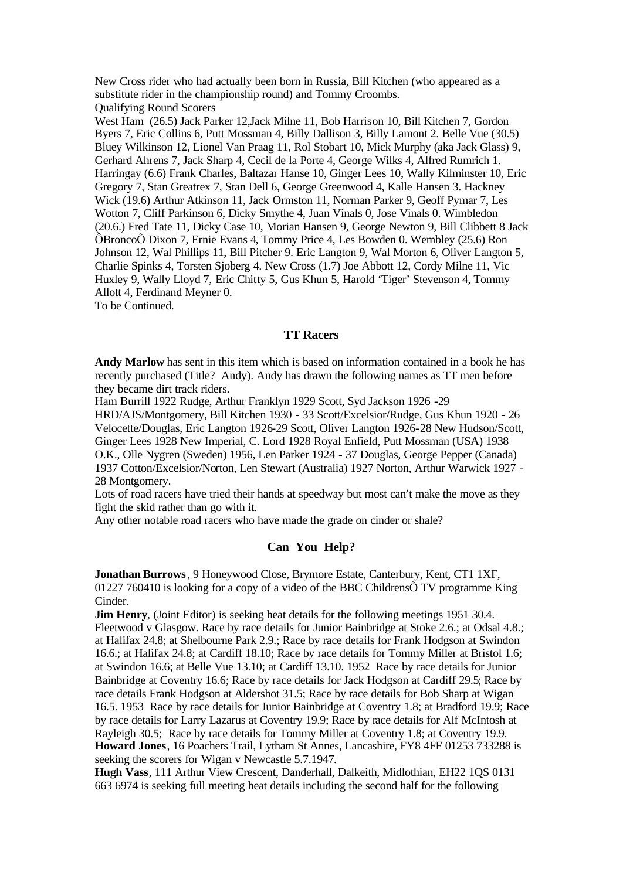New Cross rider who had actually been born in Russia, Bill Kitchen (who appeared as a substitute rider in the championship round) and Tommy Croombs. Qualifying Round Scorers

West Ham (26.5) Jack Parker 12,Jack Milne 11, Bob Harrison 10, Bill Kitchen 7, Gordon Byers 7, Eric Collins 6, Putt Mossman 4, Billy Dallison 3, Billy Lamont 2. Belle Vue (30.5) Bluey Wilkinson 12, Lionel Van Praag 11, Rol Stobart 10, Mick Murphy (aka Jack Glass) 9, Gerhard Ahrens 7, Jack Sharp 4, Cecil de la Porte 4, George Wilks 4, Alfred Rumrich 1. Harringay (6.6) Frank Charles, Baltazar Hanse 10, Ginger Lees 10, Wally Kilminster 10, Eric Gregory 7, Stan Greatrex 7, Stan Dell 6, George Greenwood 4, Kalle Hansen 3. Hackney Wick (19.6) Arthur Atkinson 11, Jack Ormston 11, Norman Parker 9, Geoff Pymar 7, Les Wotton 7, Cliff Parkinson 6, Dicky Smythe 4, Juan Vinals 0, Jose Vinals 0. Wimbledon (20.6.) Fred Tate 11, Dicky Case 10, Morian Hansen 9, George Newton 9, Bill Clibbett 8 Jack ÔBroncoÕ Dixon 7, Ernie Evans 4, Tommy Price 4, Les Bowden 0. Wembley (25.6) Ron Johnson 12, Wal Phillips 11, Bill Pitcher 9. Eric Langton 9, Wal Morton 6, Oliver Langton 5, Charlie Spinks 4, Torsten Sjoberg 4. New Cross (1.7) Joe Abbott 12, Cordy Milne 11, Vic Huxley 9, Wally Lloyd 7, Eric Chitty 5, Gus Khun 5, Harold 'Tiger' Stevenson 4, Tommy Allott 4, Ferdinand Meyner 0.

To be Continued.

#### **TT Racers**

**Andy Marlow** has sent in this item which is based on information contained in a book he has recently purchased (Title? Andy). Andy has drawn the following names as TT men before they became dirt track riders.

Ham Burrill 1922 Rudge, Arthur Franklyn 1929 Scott, Syd Jackson 1926 -29

HRD/AJS/Montgomery, Bill Kitchen 1930 - 33 Scott/Excelsior/Rudge, Gus Khun 1920 - 26 Velocette/Douglas, Eric Langton 1926-29 Scott, Oliver Langton 1926-28 New Hudson/Scott, Ginger Lees 1928 New Imperial, C. Lord 1928 Royal Enfield, Putt Mossman (USA) 1938 O.K., Olle Nygren (Sweden) 1956, Len Parker 1924 - 37 Douglas, George Pepper (Canada) 1937 Cotton/Excelsior/Norton, Len Stewart (Australia) 1927 Norton, Arthur Warwick 1927 - 28 Montgomery.

Lots of road racers have tried their hands at speedway but most can't make the move as they fight the skid rather than go with it.

Any other notable road racers who have made the grade on cinder or shale?

## **Can You Help?**

**Jonathan Burrows**, 9 Honeywood Close, Brymore Estate, Canterbury, Kent, CT1 1XF, 01227 760410 is looking for a copy of a video of the BBC Childrens $\tilde{O}$  TV programme King Cinder.

**Jim Henry**, (Joint Editor) is seeking heat details for the following meetings 1951 30.4. Fleetwood v Glasgow. Race by race details for Junior Bainbridge at Stoke 2.6.; at Odsal 4.8.; at Halifax 24.8; at Shelbourne Park 2.9.; Race by race details for Frank Hodgson at Swindon 16.6.; at Halifax 24.8; at Cardiff 18.10; Race by race details for Tommy Miller at Bristol 1.6; at Swindon 16.6; at Belle Vue 13.10; at Cardiff 13.10. 1952 Race by race details for Junior Bainbridge at Coventry 16.6; Race by race details for Jack Hodgson at Cardiff 29.5; Race by race details Frank Hodgson at Aldershot 31.5; Race by race details for Bob Sharp at Wigan 16.5. 1953 Race by race details for Junior Bainbridge at Coventry 1.8; at Bradford 19.9; Race by race details for Larry Lazarus at Coventry 19.9; Race by race details for Alf McIntosh at Rayleigh 30.5; Race by race details for Tommy Miller at Coventry 1.8; at Coventry 19.9. **Howard Jones**, 16 Poachers Trail, Lytham St Annes, Lancashire, FY8 4FF 01253 733288 is seeking the scorers for Wigan v Newcastle 5.7.1947.

**Hugh Vass**, 111 Arthur View Crescent, Danderhall, Dalkeith, Midlothian, EH22 1QS 0131 663 6974 is seeking full meeting heat details including the second half for the following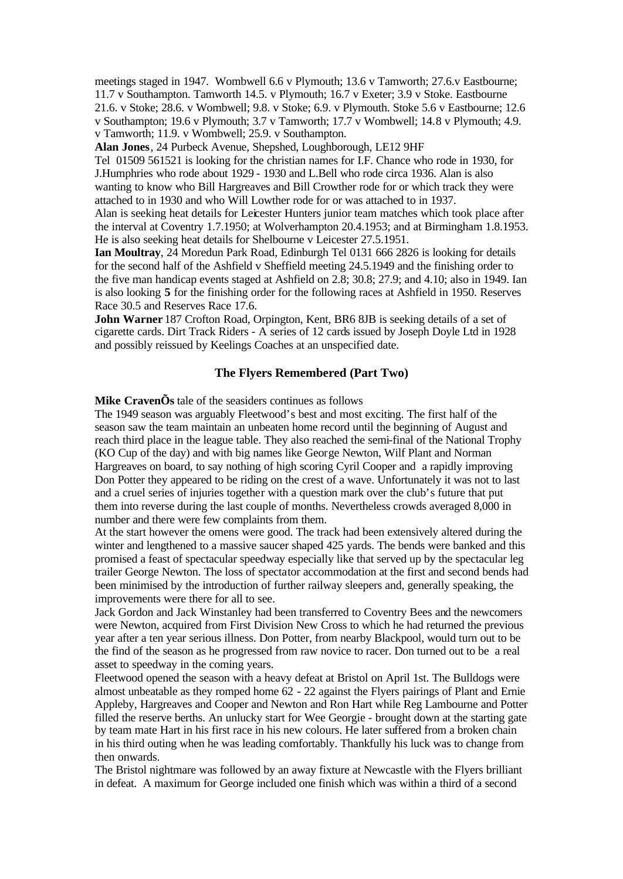meetings staged in 1947. Wombwell 6.6 v Plymouth; 13.6 v Tamworth; 27.6.v Eastbourne; 11.7 v Southampton. Tamworth 14.5. v Plymouth; 16.7 v Exeter; 3.9 v Stoke. Eastbourne 21.6. v Stoke; 28.6. v Wombwell; 9.8. v Stoke; 6.9. v Plymouth. Stoke 5.6 v Eastbourne; 12.6 v Southampton; 19.6 v Plymouth; 3.7 v Tamworth; 17.7 v Wombwell; 14.8 v Plymouth; 4.9. v Tamworth; 11.9. v Wombwell; 25.9. v Southampton.

**Alan Jones**, 24 Purbeck Avenue, Shepshed, Loughborough, LE12 9HF

Tel 01509 561521 is looking for the christian names for I.F. Chance who rode in 1930, for J.Humphries who rode about 1929 - 1930 and L.Bell who rode circa 1936. Alan is also wanting to know who Bill Hargreaves and Bill Crowther rode for or which track they were attached to in 1930 and who Will Lowther rode for or was attached to in 1937.

Alan is seeking heat details for Leicester Hunters junior team matches which took place after the interval at Coventry 1.7.1950; at Wolverhampton 20.4.1953; and at Birmingham 1.8.1953. He is also seeking heat details for Shelbourne v Leicester 27.5.1951.

**Ian Moultray**, 24 Moredun Park Road, Edinburgh Tel 0131 666 2826 is looking for details for the second half of the Ashfield v Sheffield meeting 24.5.1949 and the finishing order to the five man handicap events staged at Ashfield on 2.8; 30.8; 27.9; and 4.10; also in 1949. Ian is also looking **5** for the finishing order for the following races at Ashfield in 1950. Reserves Race 30.5 and Reserves Race 17.6.

**John Warner** 187 Crofton Road, Orpington, Kent, BR6 8JB is seeking details of a set of cigarette cards. Dirt Track Riders - A series of 12 cards issued by Joseph Doyle Ltd in 1928 and possibly reissued by Keelings Coaches at an unspecified date.

## **The Flyers Remembered (Part Two)**

**Mike CravenÕs** tale of the seasiders continues as follows

The 1949 season was arguably Fleetwood's best and most exciting. The first half of the season saw the team maintain an unbeaten home record until the beginning of August and reach third place in the league table. They also reached the semi-final of the National Trophy (KO Cup of the day) and with big names like George Newton, Wilf Plant and Norman Hargreaves on board, to say nothing of high scoring Cyril Cooper and a rapidly improving Don Potter they appeared to be riding on the crest of a wave. Unfortunately it was not to last and a cruel series of injuries together with a question mark over the club's future that put them into reverse during the last couple of months. Nevertheless crowds averaged 8,000 in number and there were few complaints from them.

At the start however the omens were good. The track had been extensively altered during the winter and lengthened to a massive saucer shaped 425 yards. The bends were banked and this promised a feast of spectacular speedway especially like that served up by the spectacular leg trailer George Newton. The loss of spectator accommodation at the first and second bends had been minimised by the introduction of further railway sleepers and, generally speaking, the improvements were there for all to see.

Jack Gordon and Jack Winstanley had been transferred to Coventry Bees and the newcomers were Newton, acquired from First Division New Cross to which he had returned the previous year after a ten year serious illness. Don Potter, from nearby Blackpool, would turn out to be the find of the season as he progressed from raw novice to racer. Don turned out to be a real asset to speedway in the coming years.

Fleetwood opened the season with a heavy defeat at Bristol on April 1st. The Bulldogs were almost unbeatable as they romped home 62 - 22 against the Flyers pairings of Plant and Ernie Appleby, Hargreaves and Cooper and Newton and Ron Hart while Reg Lambourne and Potter filled the reserve berths. An unlucky start for Wee Georgie - brought down at the starting gate by team mate Hart in his first race in his new colours. He later suffered from a broken chain in his third outing when he was leading comfortably. Thankfully his luck was to change from then onwards.

The Bristol nightmare was followed by an away fixture at Newcastle with the Flyers brilliant in defeat. A maximum for George included one finish which was within a third of a second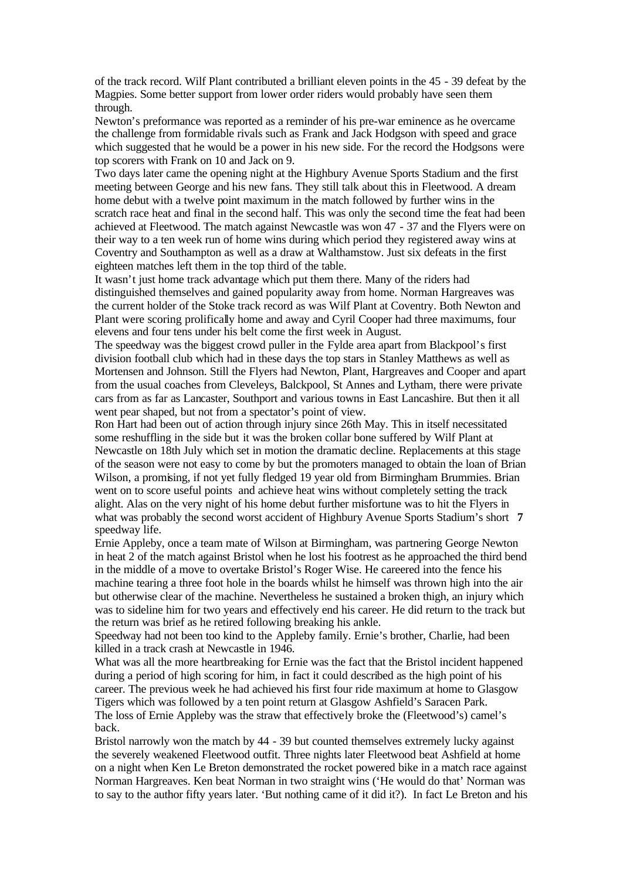of the track record. Wilf Plant contributed a brilliant eleven points in the 45 - 39 defeat by the Magpies. Some better support from lower order riders would probably have seen them through.

Newton's preformance was reported as a reminder of his pre-war eminence as he overcame the challenge from formidable rivals such as Frank and Jack Hodgson with speed and grace which suggested that he would be a power in his new side. For the record the Hodgsons were top scorers with Frank on 10 and Jack on 9.

Two days later came the opening night at the Highbury Avenue Sports Stadium and the first meeting between George and his new fans. They still talk about this in Fleetwood. A dream home debut with a twelve point maximum in the match followed by further wins in the scratch race heat and final in the second half. This was only the second time the feat had been achieved at Fleetwood. The match against Newcastle was won 47 - 37 and the Flyers were on their way to a ten week run of home wins during which period they registered away wins at Coventry and Southampton as well as a draw at Walthamstow. Just six defeats in the first eighteen matches left them in the top third of the table.

It wasn't just home track advantage which put them there. Many of the riders had distinguished themselves and gained popularity away from home. Norman Hargreaves was the current holder of the Stoke track record as was Wilf Plant at Coventry. Both Newton and Plant were scoring prolifically home and away and Cyril Cooper had three maximums, four elevens and four tens under his belt come the first week in August.

The speedway was the biggest crowd puller in the Fylde area apart from Blackpool's first division football club which had in these days the top stars in Stanley Matthews as well as Mortensen and Johnson. Still the Flyers had Newton, Plant, Hargreaves and Cooper and apart from the usual coaches from Cleveleys, Balckpool, St Annes and Lytham, there were private cars from as far as Lancaster, Southport and various towns in East Lancashire. But then it all went pear shaped, but not from a spectator's point of view.

Ron Hart had been out of action through injury since 26th May. This in itself necessitated some reshuffling in the side but it was the broken collar bone suffered by Wilf Plant at Newcastle on 18th July which set in motion the dramatic decline. Replacements at this stage of the season were not easy to come by but the promoters managed to obtain the loan of Brian Wilson, a promising, if not yet fully fledged 19 year old from Birmingham Brummies. Brian went on to score useful points and achieve heat wins without completely setting the track alight. Alas on the very night of his home debut further misfortune was to hit the Flyers in what was probably the second worst accident of Highbury Avenue Sports Stadium's short **7**  speedway life.

Ernie Appleby, once a team mate of Wilson at Birmingham, was partnering George Newton in heat 2 of the match against Bristol when he lost his footrest as he approached the third bend in the middle of a move to overtake Bristol's Roger Wise. He careered into the fence his machine tearing a three foot hole in the boards whilst he himself was thrown high into the air but otherwise clear of the machine. Nevertheless he sustained a broken thigh, an injury which was to sideline him for two years and effectively end his career. He did return to the track but the return was brief as he retired following breaking his ankle.

Speedway had not been too kind to the Appleby family. Ernie's brother, Charlie, had been killed in a track crash at Newcastle in 1946.

What was all the more heartbreaking for Ernie was the fact that the Bristol incident happened during a period of high scoring for him, in fact it could described as the high point of his career. The previous week he had achieved his first four ride maximum at home to Glasgow Tigers which was followed by a ten point return at Glasgow Ashfield's Saracen Park. The loss of Ernie Appleby was the straw that effectively broke the (Fleetwood's) camel's back.

Bristol narrowly won the match by 44 - 39 but counted themselves extremely lucky against the severely weakened Fleetwood outfit. Three nights later Fleetwood beat Ashfield at home on a night when Ken Le Breton demonstrated the rocket powered bike in a match race against Norman Hargreaves. Ken beat Norman in two straight wins ('He would do that' Norman was to say to the author fifty years later. 'But nothing came of it did it?). In fact Le Breton and his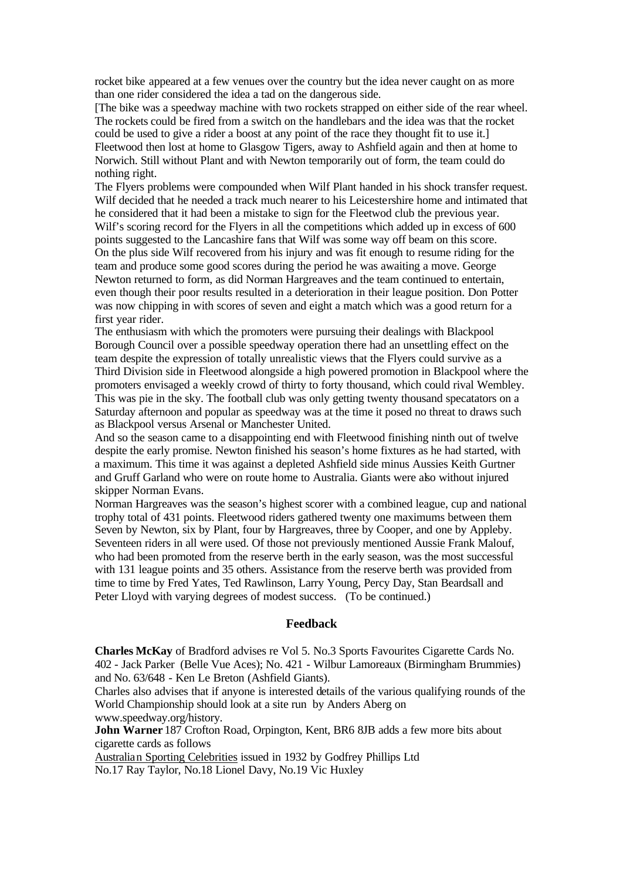rocket bike appeared at a few venues over the country but the idea never caught on as more than one rider considered the idea a tad on the dangerous side.

[The bike was a speedway machine with two rockets strapped on either side of the rear wheel. The rockets could be fired from a switch on the handlebars and the idea was that the rocket could be used to give a rider a boost at any point of the race they thought fit to use it.] Fleetwood then lost at home to Glasgow Tigers, away to Ashfield again and then at home to Norwich. Still without Plant and with Newton temporarily out of form, the team could do nothing right.

The Flyers problems were compounded when Wilf Plant handed in his shock transfer request. Wilf decided that he needed a track much nearer to his Leicestershire home and intimated that he considered that it had been a mistake to sign for the Fleetwod club the previous year. Wilf's scoring record for the Flyers in all the competitions which added up in excess of 600 points suggested to the Lancashire fans that Wilf was some way off beam on this score. On the plus side Wilf recovered from his injury and was fit enough to resume riding for the team and produce some good scores during the period he was awaiting a move. George Newton returned to form, as did Norman Hargreaves and the team continued to entertain, even though their poor results resulted in a deterioration in their league position. Don Potter was now chipping in with scores of seven and eight a match which was a good return for a first year rider.

The enthusiasm with which the promoters were pursuing their dealings with Blackpool Borough Council over a possible speedway operation there had an unsettling effect on the team despite the expression of totally unrealistic views that the Flyers could survive as a Third Division side in Fleetwood alongside a high powered promotion in Blackpool where the promoters envisaged a weekly crowd of thirty to forty thousand, which could rival Wembley. This was pie in the sky. The football club was only getting twenty thousand specatators on a Saturday afternoon and popular as speedway was at the time it posed no threat to draws such as Blackpool versus Arsenal or Manchester United.

And so the season came to a disappointing end with Fleetwood finishing ninth out of twelve despite the early promise. Newton finished his season's home fixtures as he had started, with a maximum. This time it was against a depleted Ashfield side minus Aussies Keith Gurtner and Gruff Garland who were on route home to Australia. Giants were also without injured skipper Norman Evans.

Norman Hargreaves was the season's highest scorer with a combined league, cup and national trophy total of 431 points. Fleetwood riders gathered twenty one maximums between them Seven by Newton, six by Plant, four by Hargreaves, three by Cooper, and one by Appleby. Seventeen riders in all were used. Of those not previously mentioned Aussie Frank Malouf, who had been promoted from the reserve berth in the early season, was the most successful with 131 league points and 35 others. Assistance from the reserve berth was provided from time to time by Fred Yates, Ted Rawlinson, Larry Young, Percy Day, Stan Beardsall and Peter Lloyd with varying degrees of modest success. (To be continued.)

#### **Feedback**

**Charles McKay** of Bradford advises re Vol 5. No.3 Sports Favourites Cigarette Cards No. 402 - Jack Parker (Belle Vue Aces); No. 421 - Wilbur Lamoreaux (Birmingham Brummies) and No. 63/648 - Ken Le Breton (Ashfield Giants).

Charles also advises that if anyone is interested details of the various qualifying rounds of the World Championship should look at a site run by Anders Aberg on www.speedway.org/history.

**John Warner** 187 Crofton Road, Orpington, Kent, BR6 8JB adds a few more bits about cigarette cards as follows

Australian Sporting Celebrities issued in 1932 by Godfrey Phillips Ltd No.17 Ray Taylor, No.18 Lionel Davy, No.19 Vic Huxley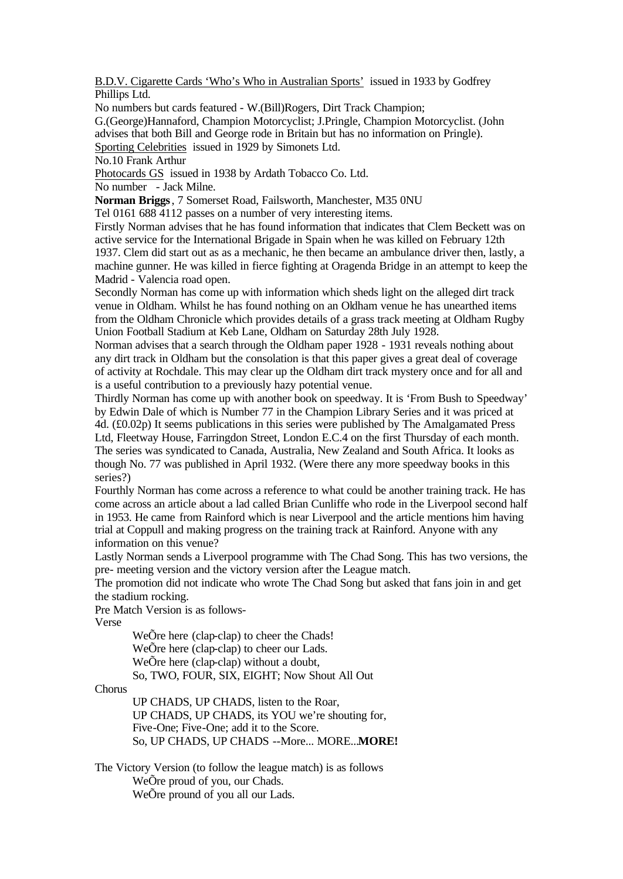B.D.V. Cigarette Cards 'Who's Who in Australian Sports' issued in 1933 by Godfrey Phillips Ltd.

No numbers but cards featured - W.(Bill)Rogers, Dirt Track Champion; G.(George)Hannaford, Champion Motorcyclist; J.Pringle, Champion Motorcyclist. (John advises that both Bill and George rode in Britain but has no information on Pringle). Sporting Celebrities issued in 1929 by Simonets Ltd.

No.10 Frank Arthur

Photocards GS issued in 1938 by Ardath Tobacco Co. Ltd.

No number - Jack Milne.

**Norman Briggs**, 7 Somerset Road, Failsworth, Manchester, M35 0NU

Tel 0161 688 4112 passes on a number of very interesting items.

Firstly Norman advises that he has found information that indicates that Clem Beckett was on active service for the International Brigade in Spain when he was killed on February 12th 1937. Clem did start out as as a mechanic, he then became an ambulance driver then, lastly, a machine gunner. He was killed in fierce fighting at Oragenda Bridge in an attempt to keep the Madrid - Valencia road open.

Secondly Norman has come up with information which sheds light on the alleged dirt track venue in Oldham. Whilst he has found nothing on an Oldham venue he has unearthed items from the Oldham Chronicle which provides details of a grass track meeting at Oldham Rugby Union Football Stadium at Keb Lane, Oldham on Saturday 28th July 1928.

Norman advises that a search through the Oldham paper 1928 - 1931 reveals nothing about any dirt track in Oldham but the consolation is that this paper gives a great deal of coverage of activity at Rochdale. This may clear up the Oldham dirt track mystery once and for all and is a useful contribution to a previously hazy potential venue.

Thirdly Norman has come up with another book on speedway. It is 'From Bush to Speedway' by Edwin Dale of which is Number 77 in the Champion Library Series and it was priced at 4d. (£0.02p) It seems publications in this series were published by The Amalgamated Press Ltd, Fleetway House, Farringdon Street, London E.C.4 on the first Thursday of each month. The series was syndicated to Canada, Australia, New Zealand and South Africa. It looks as though No. 77 was published in April 1932. (Were there any more speedway books in this series?)

Fourthly Norman has come across a reference to what could be another training track. He has come across an article about a lad called Brian Cunliffe who rode in the Liverpool second half in 1953. He came from Rainford which is near Liverpool and the article mentions him having trial at Coppull and making progress on the training track at Rainford. Anyone with any information on this venue?

Lastly Norman sends a Liverpool programme with The Chad Song. This has two versions, the pre- meeting version and the victory version after the League match.

The promotion did not indicate who wrote The Chad Song but asked that fans join in and get the stadium rocking.

Pre Match Version is as follows-

Verse

WeÕre here (clap-clap) to cheer the Chads! WeÕre here (clap-clap) to cheer our Lads. WeÕre here (clap-clap) without a doubt, So, TWO, FOUR, SIX, EIGHT; Now Shout All Out

Chorus

UP CHADS, UP CHADS, listen to the Roar, UP CHADS, UP CHADS, its YOU we're shouting for, Five-One; Five-One; add it to the Score. So, UP CHADS, UP CHADS --More... MORE...**MORE!**

The Victory Version (to follow the league match) is as follows WeÕre proud of you, our Chads. WeÕre pround of you all our Lads.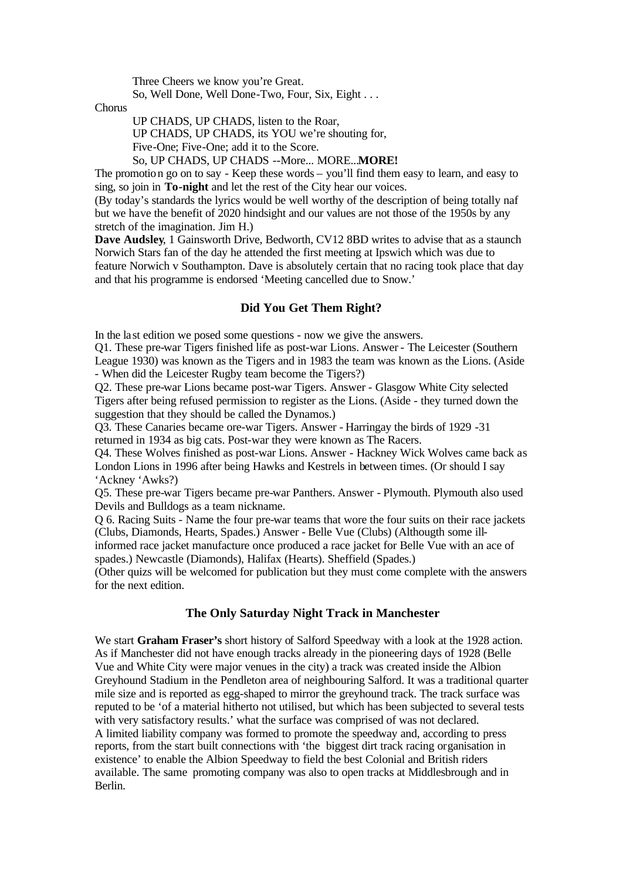Three Cheers we know you're Great.

So, Well Done, Well Done-Two, Four, Six, Eight . . .

Chorus

UP CHADS, UP CHADS, listen to the Roar,

UP CHADS, UP CHADS, its YOU we're shouting for,

Five-One; Five-One; add it to the Score.

So, UP CHADS, UP CHADS --More... MORE...**MORE!**

The promotion go on to say - Keep these words – you'll find them easy to learn, and easy to sing, so join in **To-night** and let the rest of the City hear our voices.

(By today's standards the lyrics would be well worthy of the description of being totally naf but we have the benefit of 2020 hindsight and our values are not those of the 1950s by any stretch of the imagination. Jim H.)

**Dave Audsley**, 1 Gainsworth Drive, Bedworth, CV12 8BD writes to advise that as a staunch Norwich Stars fan of the day he attended the first meeting at Ipswich which was due to feature Norwich v Southampton. Dave is absolutely certain that no racing took place that day and that his programme is endorsed 'Meeting cancelled due to Snow.'

## **Did You Get Them Right?**

In the last edition we posed some questions - now we give the answers.

Q1. These pre-war Tigers finished life as post-war Lions. Answer - The Leicester (Southern League 1930) was known as the Tigers and in 1983 the team was known as the Lions. (Aside - When did the Leicester Rugby team become the Tigers?)

Q2. These pre-war Lions became post-war Tigers. Answer - Glasgow White City selected Tigers after being refused permission to register as the Lions. (Aside - they turned down the suggestion that they should be called the Dynamos.)

Q3. These Canaries became ore-war Tigers. Answer - Harringay the birds of 1929 -31 returned in 1934 as big cats. Post-war they were known as The Racers.

Q4. These Wolves finished as post-war Lions. Answer - Hackney Wick Wolves came back as London Lions in 1996 after being Hawks and Kestrels in between times. (Or should I say 'Ackney 'Awks?)

Q5. These pre-war Tigers became pre-war Panthers. Answer - Plymouth. Plymouth also used Devils and Bulldogs as a team nickname.

Q 6. Racing Suits - Name the four pre-war teams that wore the four suits on their race jackets (Clubs, Diamonds, Hearts, Spades.) Answer - Belle Vue (Clubs) (Althougth some illinformed race jacket manufacture once produced a race jacket for Belle Vue with an ace of

spades.) Newcastle (Diamonds), Halifax (Hearts). Sheffield (Spades.)

(Other quizs will be welcomed for publication but they must come complete with the answers for the next edition.

## **The Only Saturday Night Track in Manchester**

We start **Graham Fraser's** short history of Salford Speedway with a look at the 1928 action. As if Manchester did not have enough tracks already in the pioneering days of 1928 (Belle Vue and White City were major venues in the city) a track was created inside the Albion Greyhound Stadium in the Pendleton area of neighbouring Salford. It was a traditional quarter mile size and is reported as egg-shaped to mirror the greyhound track. The track surface was reputed to be 'of a material hitherto not utilised, but which has been subjected to several tests with very satisfactory results.' what the surface was comprised of was not declared. A limited liability company was formed to promote the speedway and, according to press reports, from the start built connections with 'the biggest dirt track racing organisation in existence' to enable the Albion Speedway to field the best Colonial and British riders available. The same promoting company was also to open tracks at Middlesbrough and in Berlin.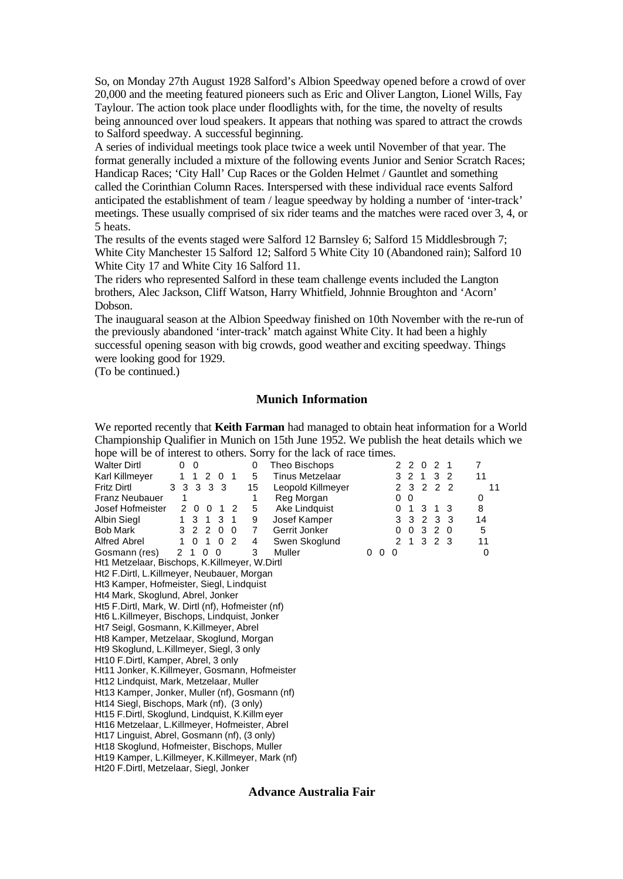So, on Monday 27th August 1928 Salford's Albion Speedway opened before a crowd of over 20,000 and the meeting featured pioneers such as Eric and Oliver Langton, Lionel Wills, Fay Taylour. The action took place under floodlights with, for the time, the novelty of results being announced over loud speakers. It appears that nothing was spared to attract the crowds to Salford speedway. A successful beginning.

A series of individual meetings took place twice a week until November of that year. The format generally included a mixture of the following events Junior and Senior Scratch Races; Handicap Races; 'City Hall' Cup Races or the Golden Helmet / Gauntlet and something called the Corinthian Column Races. Interspersed with these individual race events Salford anticipated the establishment of team / league speedway by holding a number of 'inter-track' meetings. These usually comprised of six rider teams and the matches were raced over 3, 4, or 5 heats.

The results of the events staged were Salford 12 Barnsley 6; Salford 15 Middlesbrough 7; White City Manchester 15 Salford 12; Salford 5 White City 10 (Abandoned rain); Salford 10 White City 17 and White City 16 Salford 11.

The riders who represented Salford in these team challenge events included the Langton brothers, Alec Jackson, Cliff Watson, Harry Whitfield, Johnnie Broughton and 'Acorn' Dobson.

The inauguaral season at the Albion Speedway finished on 10th November with the re-run of the previously abandoned 'inter-track' match against White City. It had been a highly successful opening season with big crowds, good weather and exciting speedway. Things were looking good for 1929.

(To be continued.)

## **Munich Information**

We reported recently that **Keith Farman** had managed to obtain heat information for a World Championship Qualifier in Munich on 15th June 1952. We publish the heat details which we hope will be of interest to others. Sorry for the lack of race times.

| hope will be of interest to others. Borry for the rack of race thres.    |                |                   |   |   |   |              |     |           |                |                |
|--------------------------------------------------------------------------|----------------|-------------------|---|---|---|--------------|-----|-----------|----------------|----------------|
| <b>Walter Dirtl</b><br>0<br>- 0                                          | 0              | Theo Bischops     |   |   |   | 220          |     | 2         | -1             | $\overline{7}$ |
| Karl Killmeyer<br>1 2 0 1<br>1                                           | 5              | Tinus Metzelaar   |   |   |   | 3 2 1        |     | 3         | $\overline{2}$ | 11             |
| 3 3 3 3 3<br><b>Fritz Dirtl</b>                                          | 15             | Leopold Killmeyer |   |   |   |              |     | 2 3 2 2 2 |                | 11             |
| <b>Franz Neubauer</b><br>1                                               |                | Reg Morgan        |   |   | 0 | $\Omega$     |     |           |                | 0              |
| Josef Hofmeister<br>2 0 0<br>1 2                                         | 5              | Ake Lindquist     |   |   | 0 | $\mathbf{1}$ | 3   | 1         | 3              | 8              |
| 1 3 1 3 1<br>Albin Siegl                                                 | 9              | Josef Kamper      |   |   |   | 3 3 2        |     | 3         | 3              | 14             |
| Bob Mark<br>3 2 2 0<br>$\overline{0}$                                    | $\overline{7}$ | Gerrit Jonker     |   |   | 0 |              | 032 |           | - 0            | 5              |
| $0 \quad 1 \quad 0$<br>Alfred Abrel<br>$\overline{2}$<br>1               | 4              | Swen Skoglund     |   |   |   |              |     | 2 1 3 2 3 |                | 11             |
| Gosmann (res)<br>$\mathcal{P}$<br>$\Omega$<br>$\mathbf 0$<br>$\mathbf 1$ | 3              | Muller            | 0 | 0 | 0 |              |     |           |                | 0              |
| Ht1 Metzelaar, Bischops, K.Killmeyer, W.Dirtl                            |                |                   |   |   |   |              |     |           |                |                |
| Ht2 F.Dirtl, L.Killmeyer, Neubauer, Morgan                               |                |                   |   |   |   |              |     |           |                |                |
| Ht3 Kamper, Hofmeister, Siegl, Lindquist                                 |                |                   |   |   |   |              |     |           |                |                |
| Ht4 Mark, Skoglund, Abrel, Jonker                                        |                |                   |   |   |   |              |     |           |                |                |
| Ht5 F.Dirtl, Mark, W. Dirtl (nf), Hofmeister (nf)                        |                |                   |   |   |   |              |     |           |                |                |
| Ht6 L.Killmeyer, Bischops, Lindquist, Jonker                             |                |                   |   |   |   |              |     |           |                |                |
| Ht7 Seigl, Gosmann, K.Killmeyer, Abrel                                   |                |                   |   |   |   |              |     |           |                |                |
| Ht8 Kamper, Metzelaar, Skoglund, Morgan                                  |                |                   |   |   |   |              |     |           |                |                |
| Ht9 Skoglund, L.Killmeyer, Siegl, 3 only                                 |                |                   |   |   |   |              |     |           |                |                |
| Ht10 F.Dirtl, Kamper, Abrel, 3 only                                      |                |                   |   |   |   |              |     |           |                |                |
| Ht11 Jonker, K.Killmeyer, Gosmann, Hofmeister                            |                |                   |   |   |   |              |     |           |                |                |
| Ht12 Lindquist, Mark, Metzelaar, Muller                                  |                |                   |   |   |   |              |     |           |                |                |
| Ht13 Kamper, Jonker, Muller (nf), Gosmann (nf)                           |                |                   |   |   |   |              |     |           |                |                |

Ht14 Siegl, Bischops, Mark (nf), (3 only) Ht15 F.Dirtl, Skoglund, Lindquist, K.Killm eyer

Ht16 Metzelaar, L.Killmeyer, Hofmeister, Abrel Ht17 Linguist, Abrel, Gosmann (nf), (3 only)

Ht18 Skoglund, Hofmeister, Bischops, Muller

Ht19 Kamper, L.Killmeyer, K.Killmeyer, Mark (nf)

Ht20 F.Dirtl, Metzelaar, Siegl, Jonker

#### **Advance Australia Fair**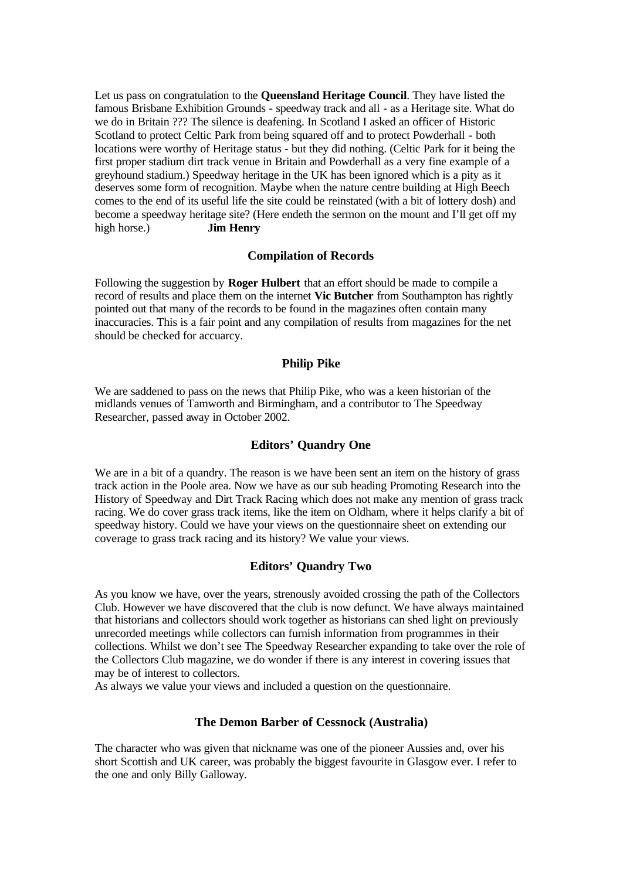Let us pass on congratulation to the **Queensland Heritage Council**. They have listed the famous Brisbane Exhibition Grounds - speedway track and all - as a Heritage site. What do we do in Britain ??? The silence is deafening. In Scotland I asked an officer of Historic Scotland to protect Celtic Park from being squared off and to protect Powderhall - both locations were worthy of Heritage status - but they did nothing. (Celtic Park for it being the first proper stadium dirt track venue in Britain and Powderhall as a very fine example of a greyhound stadium.) Speedway heritage in the UK has been ignored which is a pity as it deserves some form of recognition. Maybe when the nature centre building at High Beech comes to the end of its useful life the site could be reinstated (with a bit of lottery dosh) and become a speedway heritage site? (Here endeth the sermon on the mount and I'll get off my high horse.) **Jim Henry**

## **Compilation of Records**

Following the suggestion by **Roger Hulbert** that an effort should be made to compile a record of results and place them on the internet **Vic Butcher** from Southampton has rightly pointed out that many of the records to be found in the magazines often contain many inaccuracies. This is a fair point and any compilation of results from magazines for the net should be checked for accuarcy.

## **Philip Pike**

We are saddened to pass on the news that Philip Pike, who was a keen historian of the midlands venues of Tamworth and Birmingham, and a contributor to The Speedway Researcher, passed away in October 2002.

## **Editors' Quandry One**

We are in a bit of a quandry. The reason is we have been sent an item on the history of grass track action in the Poole area. Now we have as our sub heading Promoting Research into the History of Speedway and Dirt Track Racing which does not make any mention of grass track racing. We do cover grass track items, like the item on Oldham, where it helps clarify a bit of speedway history. Could we have your views on the questionnaire sheet on extending our coverage to grass track racing and its history? We value your views.

## **Editors' Quandry Two**

As you know we have, over the years, strenously avoided crossing the path of the Collectors Club. However we have discovered that the club is now defunct. We have always maintained that historians and collectors should work together as historians can shed light on previously unrecorded meetings while collectors can furnish information from programmes in their collections. Whilst we don't see The Speedway Researcher expanding to take over the role of the Collectors Club magazine, we do wonder if there is any interest in covering issues that may be of interest to collectors.

As always we value your views and included a question on the questionnaire.

#### **The Demon Barber of Cessnock (Australia)**

The character who was given that nickname was one of the pioneer Aussies and, over his short Scottish and UK career, was probably the biggest favourite in Glasgow ever. I refer to the one and only Billy Galloway.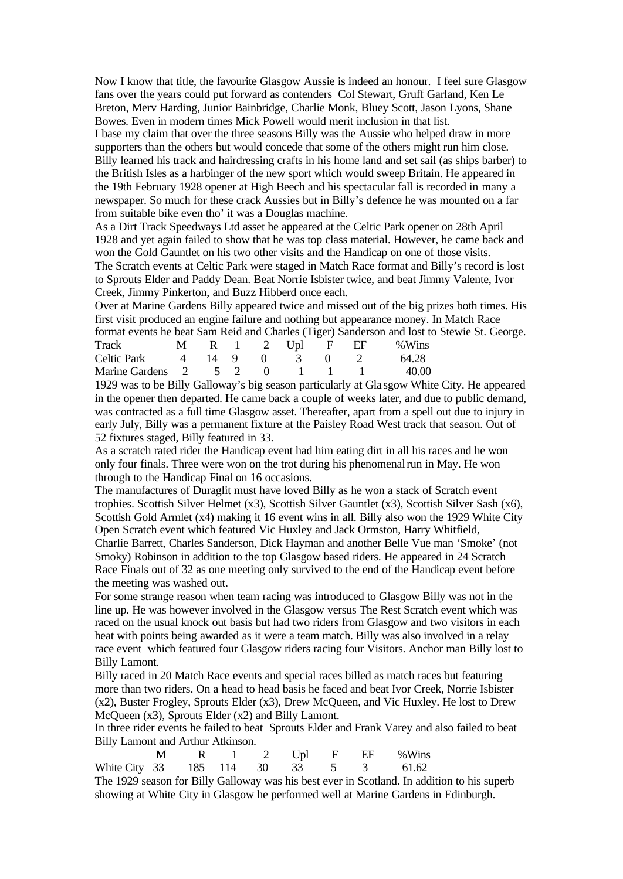Now I know that title, the favourite Glasgow Aussie is indeed an honour. I feel sure Glasgow fans over the years could put forward as contenders Col Stewart, Gruff Garland, Ken Le Breton, Merv Harding, Junior Bainbridge, Charlie Monk, Bluey Scott, Jason Lyons, Shane Bowes. Even in modern times Mick Powell would merit inclusion in that list.

I base my claim that over the three seasons Billy was the Aussie who helped draw in more supporters than the others but would concede that some of the others might run him close. Billy learned his track and hairdressing crafts in his home land and set sail (as ships barber) to the British Isles as a harbinger of the new sport which would sweep Britain. He appeared in the 19th February 1928 opener at High Beech and his spectacular fall is recorded in many a newspaper. So much for these crack Aussies but in Billy's defence he was mounted on a far from suitable bike even tho' it was a Douglas machine.

As a Dirt Track Speedways Ltd asset he appeared at the Celtic Park opener on 28th April 1928 and yet again failed to show that he was top class material. However, he came back and won the Gold Gauntlet on his two other visits and the Handicap on one of those visits. The Scratch events at Celtic Park were staged in Match Race format and Billy's record is lost to Sprouts Elder and Paddy Dean. Beat Norrie Isbister twice, and beat Jimmy Valente, Ivor Creek, Jimmy Pinkerton, and Buzz Hibberd once each.

Over at Marine Gardens Billy appeared twice and missed out of the big prizes both times. His first visit produced an engine failure and nothing but appearance money. In Match Race format events he beat Sam Reid and Charles (Tiger) Sanderson and lost to Stewie St. George.

| Track                              |  |  |  | $M$ R 1 2 Upl F EF % Wins |  |
|------------------------------------|--|--|--|---------------------------|--|
| Celtic Park 4 14 9 0 3 0 2         |  |  |  | 64.28                     |  |
| Marine Gardens 2 5 2 0 1 1 1 40.00 |  |  |  |                           |  |
|                                    |  |  |  |                           |  |

1929 was to be Billy Galloway's big season particularly at Gla sgow White City. He appeared in the opener then departed. He came back a couple of weeks later, and due to public demand, was contracted as a full time Glasgow asset. Thereafter, apart from a spell out due to injury in early July, Billy was a permanent fixture at the Paisley Road West track that season. Out of 52 fixtures staged, Billy featured in 33.

As a scratch rated rider the Handicap event had him eating dirt in all his races and he won only four finals. Three were won on the trot during his phenomenalrun in May. He won through to the Handicap Final on 16 occasions.

The manufactures of Duraglit must have loved Billy as he won a stack of Scratch event trophies. Scottish Silver Helmet (x3), Scottish Silver Gauntlet (x3), Scottish Silver Sash (x6), Scottish Gold Armlet (x4) making it 16 event wins in all. Billy also won the 1929 White City Open Scratch event which featured Vic Huxley and Jack Ormston, Harry Whitfield,

Charlie Barrett, Charles Sanderson, Dick Hayman and another Belle Vue man 'Smoke' (not Smoky) Robinson in addition to the top Glasgow based riders. He appeared in 24 Scratch Race Finals out of 32 as one meeting only survived to the end of the Handicap event before the meeting was washed out.

For some strange reason when team racing was introduced to Glasgow Billy was not in the line up. He was however involved in the Glasgow versus The Rest Scratch event which was raced on the usual knock out basis but had two riders from Glasgow and two visitors in each heat with points being awarded as it were a team match. Billy was also involved in a relay race event which featured four Glasgow riders racing four Visitors. Anchor man Billy lost to Billy Lamont.

Billy raced in 20 Match Race events and special races billed as match races but featuring more than two riders. On a head to head basis he faced and beat Ivor Creek, Norrie Isbister (x2), Buster Frogley, Sprouts Elder (x3), Drew McQueen, and Vic Huxley. He lost to Drew McQueen (x3), Sprouts Elder (x2) and Billy Lamont.

In three rider events he failed to beat Sprouts Elder and Frank Varey and also failed to beat Billy Lamont and Arthur Atkinson.

|                                                                                 |  |  |  | M R 1 2 Upl F EF %Wins |  |
|---------------------------------------------------------------------------------|--|--|--|------------------------|--|
| White City 33 185 114 30 33 5 3 61.62                                           |  |  |  |                        |  |
| The 1020 seeson for Pilly Collowey wes his best over in Sectional In additional |  |  |  |                        |  |

The 1929 season for Billy Galloway was his best ever in Scotland. In addition to his superb showing at White City in Glasgow he performed well at Marine Gardens in Edinburgh.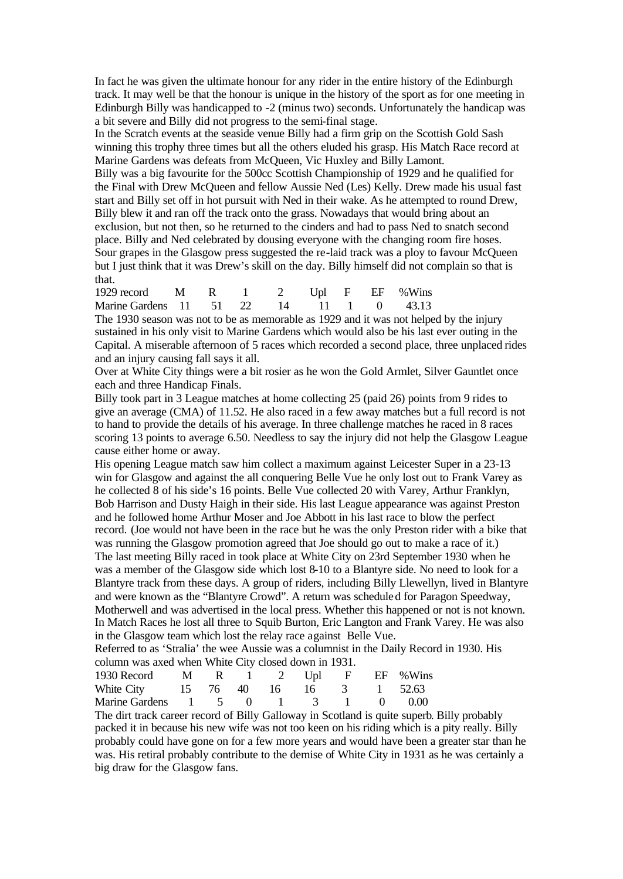In fact he was given the ultimate honour for any rider in the entire history of the Edinburgh track. It may well be that the honour is unique in the history of the sport as for one meeting in Edinburgh Billy was handicapped to -2 (minus two) seconds. Unfortunately the handicap was a bit severe and Billy did not progress to the semi-final stage.

In the Scratch events at the seaside venue Billy had a firm grip on the Scottish Gold Sash winning this trophy three times but all the others eluded his grasp. His Match Race record at Marine Gardens was defeats from McQueen, Vic Huxley and Billy Lamont.

Billy was a big favourite for the 500cc Scottish Championship of 1929 and he qualified for the Final with Drew McQueen and fellow Aussie Ned (Les) Kelly. Drew made his usual fast start and Billy set off in hot pursuit with Ned in their wake. As he attempted to round Drew, Billy blew it and ran off the track onto the grass. Nowadays that would bring about an exclusion, but not then, so he returned to the cinders and had to pass Ned to snatch second place. Billy and Ned celebrated by dousing everyone with the changing room fire hoses. Sour grapes in the Glasgow press suggested the re-laid track was a ploy to favour McQueen but I just think that it was Drew's skill on the day. Billy himself did not complain so that is that.

| 1929 record M R 1 2 Upl F EF %Wins      |  |  |  |  |
|-----------------------------------------|--|--|--|--|
| Marine Gardens 11 51 22 14 11 1 0 43.13 |  |  |  |  |

The 1930 season was not to be as memorable as 1929 and it was not helped by the injury sustained in his only visit to Marine Gardens which would also be his last ever outing in the Capital. A miserable afternoon of 5 races which recorded a second place, three unplaced rides and an injury causing fall says it all.

Over at White City things were a bit rosier as he won the Gold Armlet, Silver Gauntlet once each and three Handicap Finals.

Billy took part in 3 League matches at home collecting 25 (paid 26) points from 9 rides to give an average (CMA) of 11.52. He also raced in a few away matches but a full record is not to hand to provide the details of his average. In three challenge matches he raced in 8 races scoring 13 points to average 6.50. Needless to say the injury did not help the Glasgow League cause either home or away.

His opening League match saw him collect a maximum against Leicester Super in a 23-13 win for Glasgow and against the all conquering Belle Vue he only lost out to Frank Varey as he collected 8 of his side's 16 points. Belle Vue collected 20 with Varey, Arthur Franklyn, Bob Harrison and Dusty Haigh in their side. His last League appearance was against Preston and he followed home Arthur Moser and Joe Abbott in his last race to blow the perfect record. (Joe would not have been in the race but he was the only Preston rider with a bike that was running the Glasgow promotion agreed that Joe should go out to make a race of it.) The last meeting Billy raced in took place at White City on 23rd September 1930 when he was a member of the Glasgow side which lost 8-10 to a Blantyre side. No need to look for a Blantyre track from these days. A group of riders, including Billy Llewellyn, lived in Blantyre and were known as the "Blantyre Crowd". A return was scheduled for Paragon Speedway, Motherwell and was advertised in the local press. Whether this happened or not is not known. In Match Races he lost all three to Squib Burton, Eric Langton and Frank Varey. He was also in the Glasgow team which lost the relay race against Belle Vue.

Referred to as 'Stralia' the wee Aussie was a columnist in the Daily Record in 1930. His column was axed when White City closed down in 1931.

| 1930 Record M R 1 2 Upl F EF %Wins  |  |  |  |  |
|-------------------------------------|--|--|--|--|
| White City 15 76 40 16 16 3 1 52.63 |  |  |  |  |
| Marine Gardens 1 5 0 1 3 1 0 0.00   |  |  |  |  |

The dirt track career record of Billy Galloway in Scotland is quite superb. Billy probably packed it in because his new wife was not too keen on his riding which is a pity really. Billy probably could have gone on for a few more years and would have been a greater star than he was. His retiral probably contribute to the demise of White City in 1931 as he was certainly a big draw for the Glasgow fans.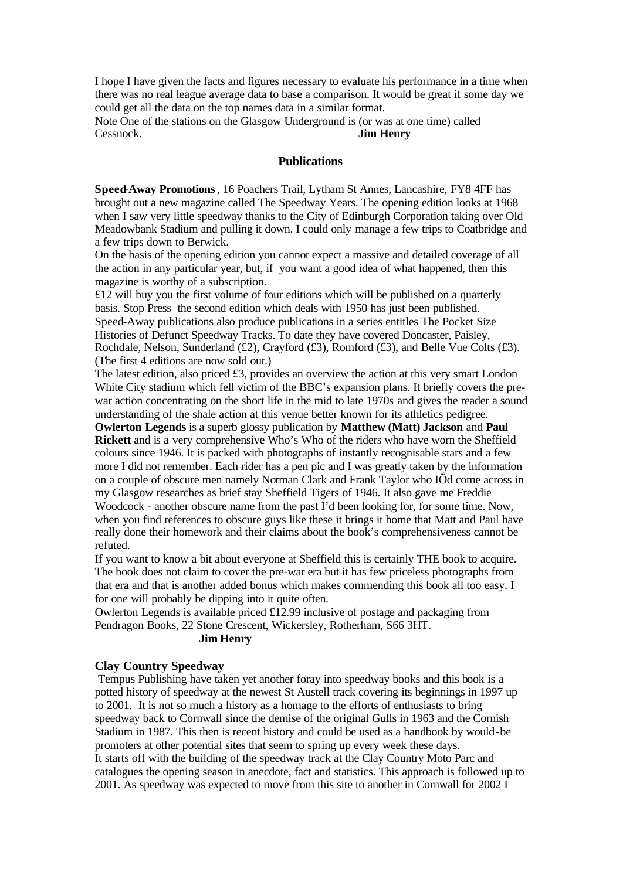I hope I have given the facts and figures necessary to evaluate his performance in a time when there was no real league average data to base a comparison. It would be great if some day we could get all the data on the top names data in a similar format.

Note One of the stations on the Glasgow Underground is (or was at one time) called Cessnock. **Jim Henry**

#### **Publications**

**Speed-Away Promotions**, 16 Poachers Trail, Lytham St Annes, Lancashire, FY8 4FF has brought out a new magazine called The Speedway Years. The opening edition looks at 1968 when I saw very little speedway thanks to the City of Edinburgh Corporation taking over Old Meadowbank Stadium and pulling it down. I could only manage a few trips to Coatbridge and a few trips down to Berwick.

On the basis of the opening edition you cannot expect a massive and detailed coverage of all the action in any particular year, but, if you want a good idea of what happened, then this magazine is worthy of a subscription.

 $£12$  will buy you the first volume of four editions which will be published on a quarterly basis. Stop Press the second edition which deals with 1950 has just been published. Speed-Away publications also produce publications in a series entitles The Pocket Size Histories of Defunct Speedway Tracks. To date they have covered Doncaster, Paisley, Rochdale, Nelson, Sunderland (£2), Crayford (£3), Romford (£3), and Belle Vue Colts (£3). (The first 4 editions are now sold out.)

The latest edition, also priced £3, provides an overview the action at this very smart London White City stadium which fell victim of the BBC's expansion plans. It briefly covers the prewar action concentrating on the short life in the mid to late 1970s and gives the reader a sound understanding of the shale action at this venue better known for its athletics pedigree.

**Owlerton Legends** is a superb glossy publication by **Matthew (Matt) Jackson** and **Paul Rickett** and is a very comprehensive Who's Who of the riders who have worn the Sheffield colours since 1946. It is packed with photographs of instantly recognisable stars and a few more I did not remember. Each rider has a pen pic and I was greatly taken by the information on a couple of obscure men namely Norman Clark and Frank Taylor who IÕd come across in my Glasgow researches as brief stay Sheffield Tigers of 1946. It also gave me Freddie Woodcock - another obscure name from the past I'd been looking for, for some time. Now, when you find references to obscure guys like these it brings it home that Matt and Paul have really done their homework and their claims about the book's comprehensiveness cannot be refuted.

If you want to know a bit about everyone at Sheffield this is certainly THE book to acquire. The book does not claim to cover the pre-war era but it has few priceless photographs from that era and that is another added bonus which makes commending this book all too easy. I for one will probably be dipping into it quite often.

Owlerton Legends is available priced £12.99 inclusive of postage and packaging from Pendragon Books, 22 Stone Crescent, Wickersley, Rotherham, S66 3HT.

#### **Jim Henry**

#### **Clay Country Speedway**

Tempus Publishing have taken yet another foray into speedway books and this book is a potted history of speedway at the newest St Austell track covering its beginnings in 1997 up to 2001. It is not so much a history as a homage to the efforts of enthusiasts to bring speedway back to Cornwall since the demise of the original Gulls in 1963 and the Cornish Stadium in 1987. This then is recent history and could be used as a handbook by would-be promoters at other potential sites that seem to spring up every week these days. It starts off with the building of the speedway track at the Clay Country Moto Parc and catalogues the opening season in anecdote, fact and statistics. This approach is followed up to 2001. As speedway was expected to move from this site to another in Cornwall for 2002  $\hat{I}$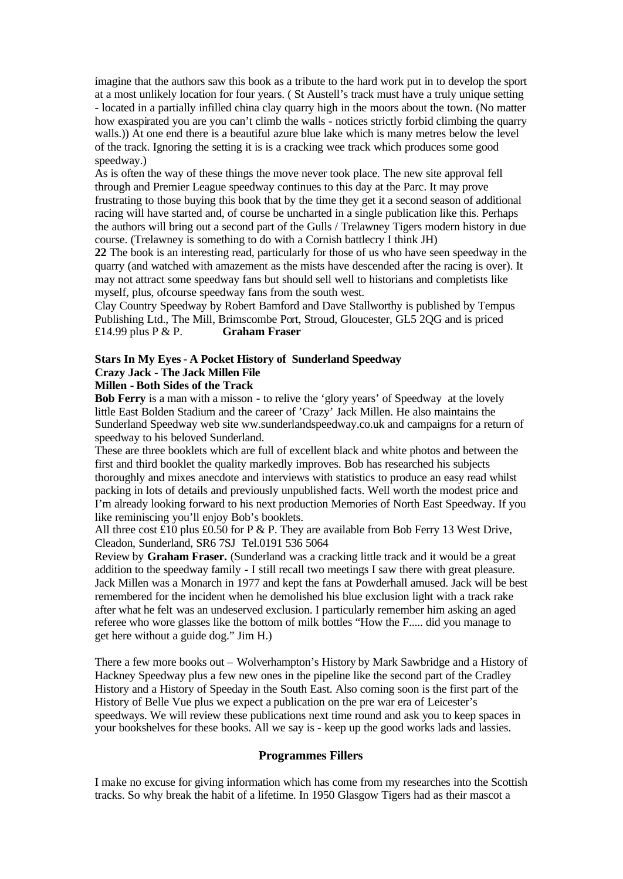imagine that the authors saw this book as a tribute to the hard work put in to develop the sport at a most unlikely location for four years. ( St Austell's track must have a truly unique setting - located in a partially infilled china clay quarry high in the moors about the town. (No matter how exaspirated you are you can't climb the walls - notices strictly forbid climbing the quarry walls.)) At one end there is a beautiful azure blue lake which is many metres below the level of the track. Ignoring the setting it is is a cracking wee track which produces some good speedway.)

As is often the way of these things the move never took place. The new site approval fell through and Premier League speedway continues to this day at the Parc. It may prove frustrating to those buying this book that by the time they get it a second season of additional racing will have started and, of course be uncharted in a single publication like this. Perhaps the authors will bring out a second part of the Gulls / Trelawney Tigers modern history in due course. (Trelawney is something to do with a Cornish battlecry I think JH)

**22** The book is an interesting read, particularly for those of us who have seen speedway in the quarry (and watched with amazement as the mists have descended after the racing is over). It may not attract some speedway fans but should sell well to historians and completists like myself, plus, ofcourse speedway fans from the south west.

Clay Country Speedway by Robert Bamford and Dave Stallworthy is published by Tempus Publishing Ltd., The Mill, Brimscombe Port, Stroud, Gloucester, GL5 2QG and is priced £14.99 plus P & P. **Graham Fraser**

## **Stars In My Eyes - A Pocket History of Sunderland Speedway Crazy Jack - The Jack Millen File**

## **Millen - Both Sides of the Track**

**Bob Ferry** is a man with a misson - to relive the 'glory years' of Speedway at the lovely little East Bolden Stadium and the career of 'Crazy' Jack Millen. He also maintains the Sunderland Speedway web site ww.sunderlandspeedway.co.uk and campaigns for a return of speedway to his beloved Sunderland.

These are three booklets which are full of excellent black and white photos and between the first and third booklet the quality markedly improves. Bob has researched his subjects thoroughly and mixes anecdote and interviews with statistics to produce an easy read whilst packing in lots of details and previously unpublished facts. Well worth the modest price and I'm already looking forward to his next production Memories of North East Speedway. If you like reminiscing you'll enjoy Bob's booklets.

All three cost £10 plus £0.50 for P & P. They are available from Bob Ferry 13 West Drive, Cleadon, Sunderland, SR6 7SJ Tel.0191 536 5064

Review by **Graham Fraser.** (Sunderland was a cracking little track and it would be a great addition to the speedway family - I still recall two meetings I saw there with great pleasure. Jack Millen was a Monarch in 1977 and kept the fans at Powderhall amused. Jack will be best remembered for the incident when he demolished his blue exclusion light with a track rake after what he felt was an undeserved exclusion. I particularly remember him asking an aged referee who wore glasses like the bottom of milk bottles "How the F..... did you manage to get here without a guide dog." Jim H.)

There a few more books out – Wolverhampton's History by Mark Sawbridge and a History of Hackney Speedway plus a few new ones in the pipeline like the second part of the Cradley History and a History of Speeday in the South East. Also coming soon is the first part of the History of Belle Vue plus we expect a publication on the pre war era of Leicester's speedways. We will review these publications next time round and ask you to keep spaces in your bookshelves for these books. All we say is - keep up the good works lads and lassies.

#### **Programmes Fillers**

I make no excuse for giving information which has come from my researches into the Scottish tracks. So why break the habit of a lifetime. In 1950 Glasgow Tigers had as their mascot a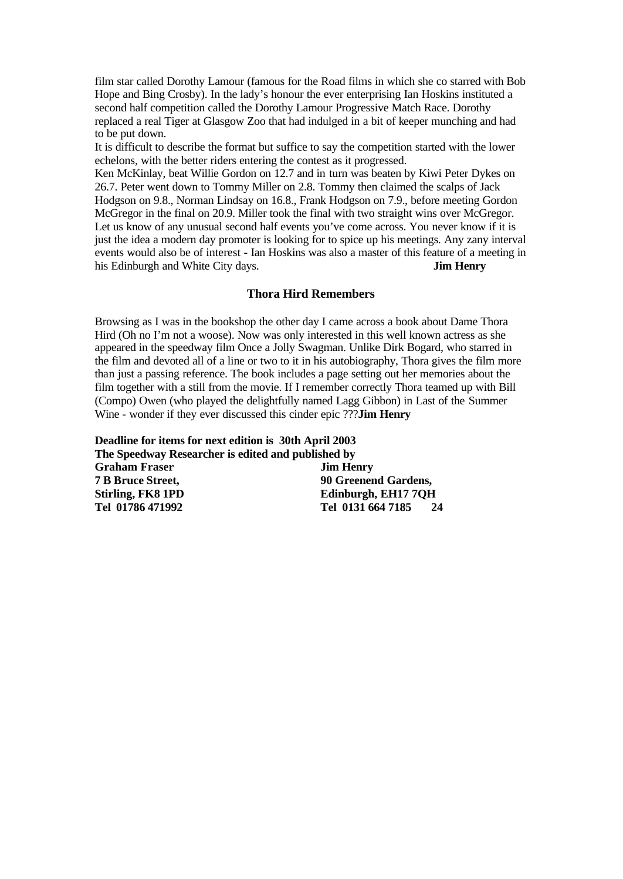film star called Dorothy Lamour (famous for the Road films in which she co starred with Bob Hope and Bing Crosby). In the lady's honour the ever enterprising Ian Hoskins instituted a second half competition called the Dorothy Lamour Progressive Match Race. Dorothy replaced a real Tiger at Glasgow Zoo that had indulged in a bit of keeper munching and had to be put down.

It is difficult to describe the format but suffice to say the competition started with the lower echelons, with the better riders entering the contest as it progressed.

Ken McKinlay, beat Willie Gordon on 12.7 and in turn was beaten by Kiwi Peter Dykes on 26.7. Peter went down to Tommy Miller on 2.8. Tommy then claimed the scalps of Jack Hodgson on 9.8., Norman Lindsay on 16.8., Frank Hodgson on 7.9., before meeting Gordon McGregor in the final on 20.9. Miller took the final with two straight wins over McGregor. Let us know of any unusual second half events you've come across. You never know if it is just the idea a modern day promoter is looking for to spice up his meetings. Any zany interval events would also be of interest - Ian Hoskins was also a master of this feature of a meeting in his Edinburgh and White City days. **Jim Henry**

#### **Thora Hird Remembers**

Browsing as I was in the bookshop the other day I came across a book about Dame Thora Hird (Oh no I'm not a woose). Now was only interested in this well known actress as she appeared in the speedway film Once a Jolly Swagman. Unlike Dirk Bogard, who starred in the film and devoted all of a line or two to it in his autobiography, Thora gives the film more than just a passing reference. The book includes a page setting out her memories about the film together with a still from the movie. If I remember correctly Thora teamed up with Bill (Compo) Owen (who played the delightfully named Lagg Gibbon) in Last of the Summer Wine - wonder if they ever discussed this cinder epic ???**Jim Henry**

**Deadline for items for next edition is 30th April 2003 The Speedway Researcher is edited and published by Graham Fraser Jim Henry 7 B Bruce Street, 90 Greenend Gardens, Stirling, FK8 1PD Edinburgh, EH17 7QH Tel 01786 471992 Tel 0131 664 7185 24**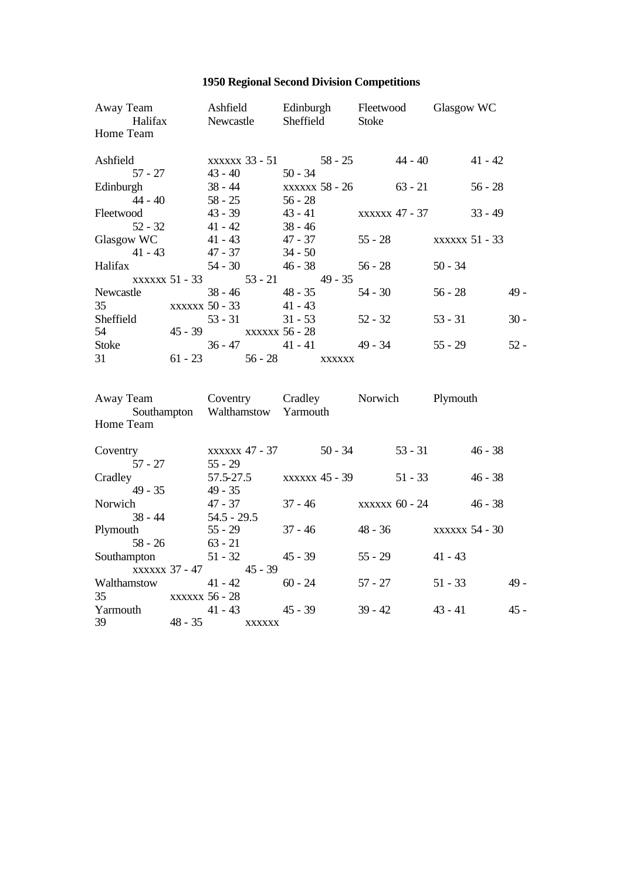## **1950 Regional Second Division Competitions**

| Away Team Ashfield Edinburgh Fleetwood Glasgow WC<br>Halifax Newcastle Sheffield Stoke<br>Home Team |                                   |                                                                |           |           |                        |           |        |
|-----------------------------------------------------------------------------------------------------|-----------------------------------|----------------------------------------------------------------|-----------|-----------|------------------------|-----------|--------|
| Ashfield                                                                                            |                                   | xxxxxx 33 - 51 58 - 25 44 - 40 41 - 42                         |           |           |                        |           |        |
| $57 - 27$ $43 - 40$<br>Edinburgh<br>$44 - 40$ 58 - 25                                               |                                   | $50 - 34$<br>$38 - 44$ xxxxxx $58 - 26$ $63 - 21$<br>$56 - 28$ |           |           |                        | $56 - 28$ |        |
| Fleetwood<br>$52 - 32$ $41 - 42$ $38 - 46$                                                          |                                   | $43 - 39$ $43 - 41$ $xxxxxx 47 - 37$                           |           |           |                        | $33 - 49$ |        |
| Glasgow WC<br>$41 - 43$ $47 - 37$ $34 - 50$                                                         |                                   | $41 - 43$ $47 - 37$ $55 - 28$ $xxxxxx 51 - 33$                 |           |           |                        |           |        |
| Halifax<br>xxxxxx 51 - 33 53 - 21 49 - 35                                                           |                                   | $54 - 30$ $46 - 38$                                            | $56 - 28$ |           | $50 - 34$              |           |        |
| Newcastle<br>35<br>$\text{XXXXX}$ 50 - 33 41 - 43                                                   |                                   | $38 - 46$ $48 - 35$                                            | $54 - 30$ |           | $56 - 28$              |           | $49 -$ |
| Sheffield<br>54<br>45 - 39 xxxxxx 56 - 28                                                           | $53 - 31$                         | $31 - 53$ $52 - 32$                                            |           |           | $53 - 31$              |           | $30 -$ |
| Stoke<br>31<br>$61 - 23$ $56 - 28$ $xxxxxx$                                                         |                                   | $36 - 47$ $41 - 41$ $49 - 34$                                  |           |           | $55 - 29$              |           | $52 -$ |
| Away Team Coventry Cradley Norwich Plymouth<br>Southampton Walthamstow Yarmouth<br>Home Team        |                                   |                                                                |           |           |                        |           |        |
| Coventry<br>$57 - 27$ $55 - 29$                                                                     |                                   | xxxxxx 47 - 37 50 - 34 53 - 31 46 - 38                         |           |           |                        |           |        |
| Cradley<br>$49 - 35$ $49 - 35$                                                                      |                                   | 57.5-27.5 xxxxxx 45 - 39                                       |           | $51 - 33$ |                        | $46 - 38$ |        |
| Norwich<br>$38 - 44$ $54.5 - 29.5$                                                                  | 47 - 37                           | $37 - 46$ xxxxxx $60 - 24$                                     |           |           |                        | $46 - 38$ |        |
| Plymouth<br>$58 - 26$ $63 - 21$                                                                     | $55 - 29$                         | $37 - 46$                                                      |           |           | 48 - 36 xxxxxx 54 - 30 |           |        |
| Southampton<br>xxxxxx 37 - 47 45 - 39                                                               |                                   | $51 - 32$ $45 - 39$                                            | $55 - 29$ |           | $41 - 43$              |           |        |
| Walthamstow                                                                                         | $41 - 42$<br>$\sim$ $\sim$ $\sim$ | $60 - 24$                                                      | $57 - 27$ |           | $51 - 33$              |           | $49 -$ |

35 xxxxxx 56 - 28 Yarmouth 41 - 43 45 - 39 39 - 42 43 - 41 45 -39 48 - 35 xxxxxx